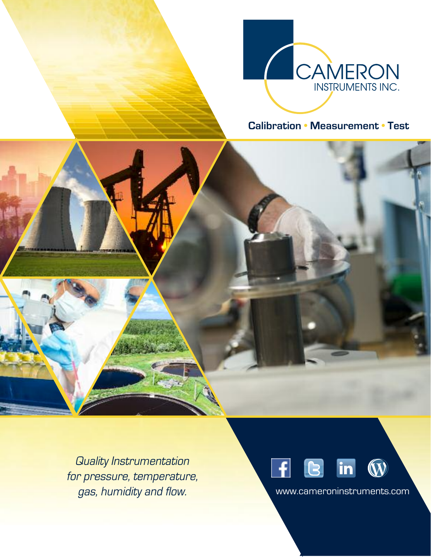

# **Calibration • Measurement • Test**

Quality Instrumentation for pressure, temperature, gas, humidity and flow. www.cameroninstruments.com

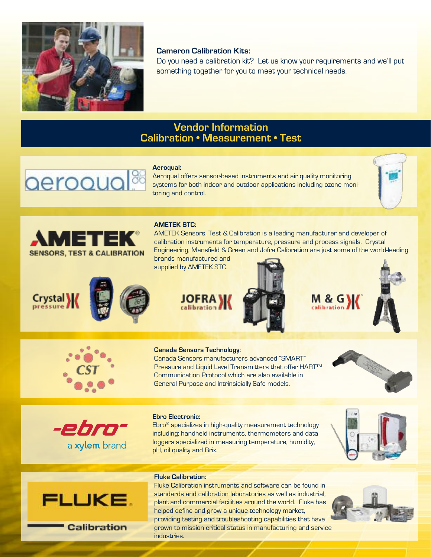

# **Cameron Calibration Kits:**

Do you need a calibration kit? Let us know your requirements and we'll put something together for you to meet your technical needs.

# **Vendor Information Calibration • Measurement • Test**

### **Aeroqual:**

aeroquo

Aeroqual offers sensor-based instruments and air quality monitoring systems for both indoor and outdoor applications including ozone monitoring and control.





## **AMETEK STC:**

AMETEK Sensors, Test & Calibration is a leading manufacturer and developer of calibration instruments for temperature, pressure and process signals. Crystal Engineering, Mansfield & Green and Jofra Calibration are just some of the world-leading

brands manufactured and supplied by AMETEK STC.





M & G \ calibration





## **Canada Sensors Technology:**

Canada Sensors manufacturers advanced "SMART" Pressure and Liquid Level Transmitters that offer HART™ Communication Protocol which are also available in General Purpose and Intrinsicially Safe models.





## **Ebro Electronic:**

Ebro® specializes in high-quality measurement technology including; handheld instruments, thermometers and data loggers specialized in measuring temperature, humidity, pH, oil quality and Brix.





Calibration

## **Fluke Calibration:**

Fluke Calibration instruments and software can be found in standards and calibration laboratories as well as industrial, plant and commercial facilities around the world. Fluke has helped define and grow a unique technology market, providing testing and troubleshooting capabilities that have grown to mission critical status in manufacturing and service industries.

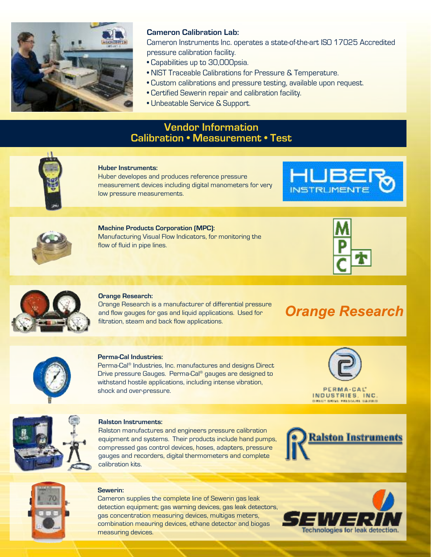

# **Cameron Calibration Lab:**

Cameron Instruments Inc. operates a state-of-the-art ISO 17025 Accredited pressure calibration facility.

- Capabilities up to 30,000psia.
- NIST Traceable Calibrations for Pressure & Temperature.
- Custom calibrations and pressure testing, available upon request.
- Certified Sewerin repair and calibration facility.
- Unbeatable Service & Support.

# **Vendor Information Calibration • Measurement • Test**



# **Huber Instruments:**

Huber developes and produces reference pressure measurement devices including digital manometers for very low pressure measurements.





**Machine Products Corporation (MPC):** Manufacturing Visual Flow Indicators, for monitoring the flow of fluid in pipe lines.





## **Orange Research:**

Orange Research is a manufacturer of differential pressure and flow gauges for gas and liquid applications. Used for filtration, steam and back flow applications.

**Orange Research** 



### **Perma-Cal Industries:**

Perma-Cal ® Industries, Inc. manufactures and designs Direct Drive pressure Gauges. Perma-Cal ® gauges are designed to withstand hostile applications, including intense vibration, shock and over-pressure.

PERMA-CAL INDUSTRIES, INC.



#### **Ralston Instruments:**

Ralston manufactures and engineers pressure calibration equipment and systems. Their products include hand pumps, compressed gas control devices, hoses, adapters, pressure gauges and recorders, digital thermometers and complete calibration kits.





#### **Sewerin:**

Cameron supplies the complete line of Sewerin gas leak detection equipment; gas warning devices, gas leak detectors, gas concentration measuring devices, multigas meters, combination meauring devices, ethane detector and biogas measuring devices.